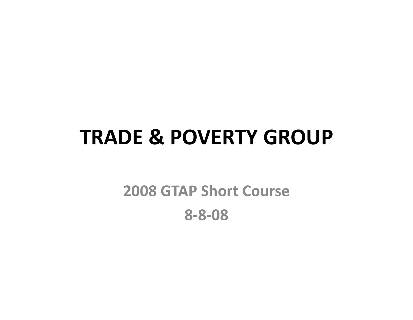## **TRADE & POVERTY GROUP**

## **2008 GTAP Short Course**  $8 - 8 - 08$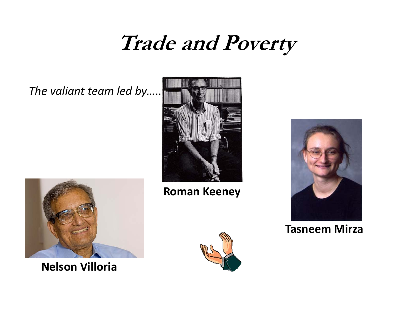## **Trade and Poverty**

The valiant team led by..



**Nelson Villoria** 



**Roman Keeney** 





#### **Tasneem Mirza**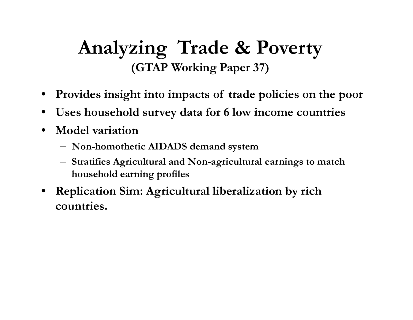### **Analyzing Trade & Poverty (GTAP Working Paper 37)**

- •**Provides insight into impacts of trade policies on the poor**
- •**Uses household survey data for 6 low income countries**
- • **Model variation**
	- **Non-homothetic AIDADS demand system**
	- **Stratifies Agricultural and Non-agricultural earnings to match household earning profiles**
- **Replication Sim: Agricultural liberalization by rich countries.**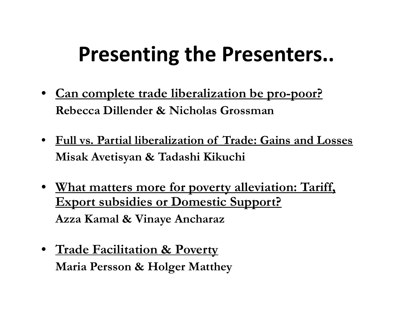# **Presenting the Presenters..**

- **Can complete trade liberalization be pro-poor? Rebecca Dillender & Nicholas Grossman**
- **Full vs. Partial liberalization of Trade: Gains and Losses Misak Avetisyan & Tadashi Kikuchi**
- **What matters more for poverty alleviation: Tariff, Export subsidies or Domestic Support? Azza Kamal & Vinaye Ancharaz**
- **Trade Facilitation & Poverty Maria Persson & Holger Matthey**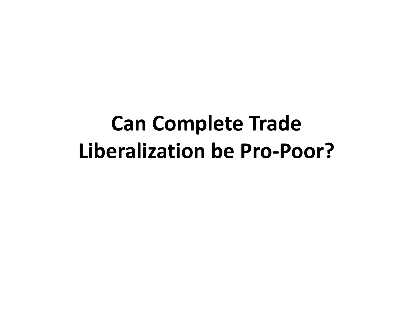# **Can Complete Trade Liberalization be Pro‐Poor?**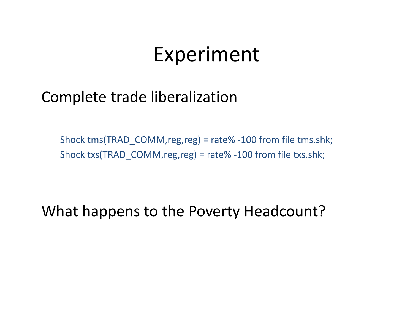## Experiment

#### Complete trade liberalization

Shock tms(TRAD\_COMM,reg,reg) <sup>=</sup> rate% ‐100 from file tms.shk; Shock txs(TRAD\_COMM,reg,reg) <sup>=</sup> rate% ‐100 from file txs.shk;

What happens to the Poverty Headcount?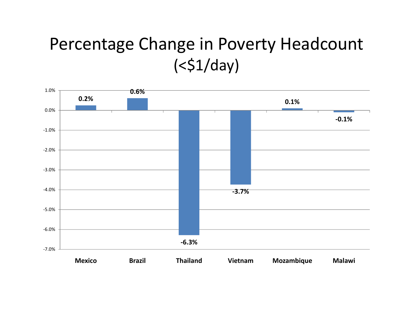### Percentage Change in Poverty Headcount  $( $51/day$ )$

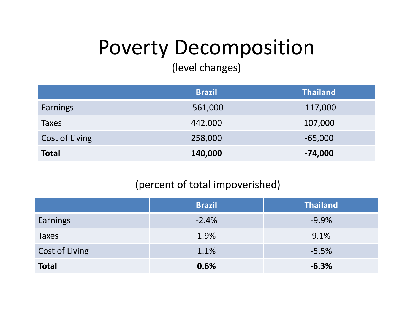# Poverty Decomposition

(level changes)

|                | <b>Brazil</b> | <b>Thailand</b> |
|----------------|---------------|-----------------|
| Earnings       | $-561,000$    | $-117,000$      |
| <b>Taxes</b>   | 442,000       | 107,000         |
| Cost of Living | 258,000       | $-65,000$       |
| <b>Total</b>   | 140,000       | $-74,000$       |

#### (percent of total impoverished)

|                 | <b>Brazil</b> | <b>Thailand</b> |
|-----------------|---------------|-----------------|
| <b>Earnings</b> | $-2.4%$       | $-9.9%$         |
| <b>Taxes</b>    | 1.9%          | 9.1%            |
| Cost of Living  | 1.1%          | $-5.5%$         |
| <b>Total</b>    | 0.6%          | $-6.3%$         |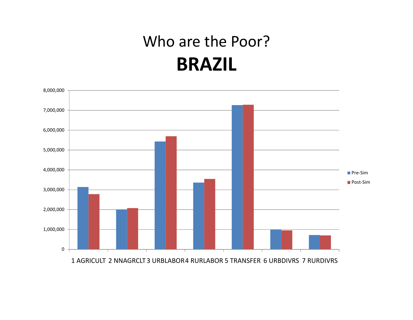## Who are the Poor? **BRAZIL**



1 AGRICULT 2 NNAGRCLT 3 URBLABOR4 RURLABOR 5 TRANSFER 6 URBDIVRS 7 RURDIVRS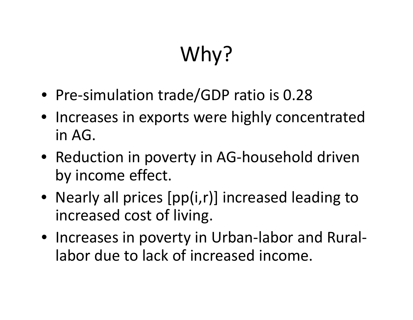# Why?

- Pre-simulation trade/GDP ratio is 0.28
- Increases in exports were highly concentrated in AG.
- Reduction in poverty in AG‐household driven by income effect.
- Nearly all prices [pp(i,r)] increased leading to increased cost of living.
- Increases in poverty in Urban‐labor and Rural‐ labor due to lack of increased income.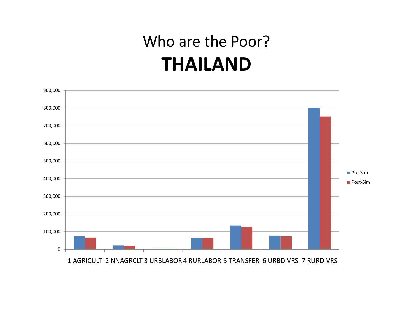## Who are the Poor? **THAILAND**